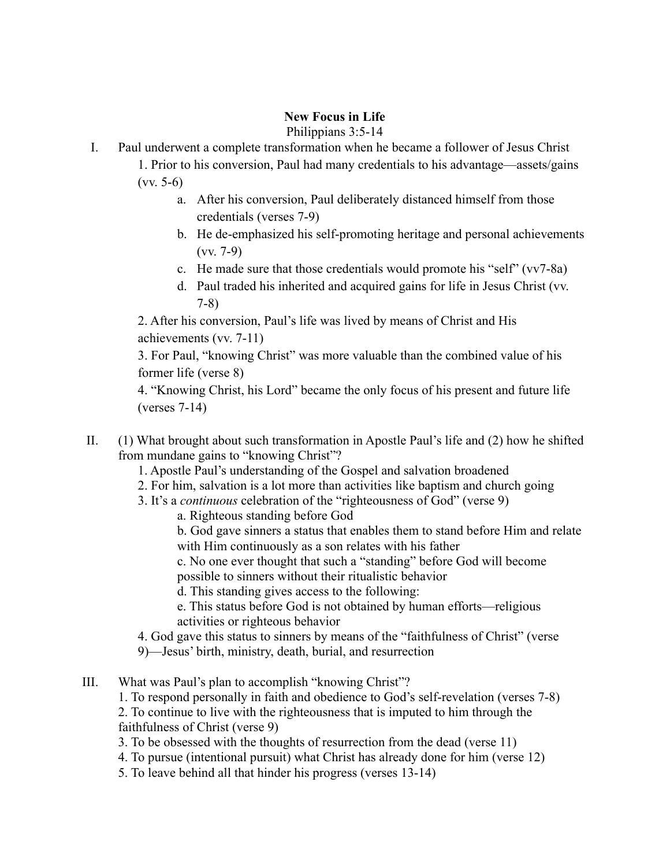## **New Focus in Life**

Philippians 3:5-14

- I. Paul underwent a complete transformation when he became a follower of Jesus Christ
	- 1. Prior to his conversion, Paul had many credentials to his advantage—assets/gains (vv. 5-6)
		- a. After his conversion, Paul deliberately distanced himself from those credentials (verses 7-9)
		- b. He de-emphasized his self-promoting heritage and personal achievements (vv. 7-9)
		- c. He made sure that those credentials would promote his "self" (vv7-8a)
		- d. Paul traded his inherited and acquired gains for life in Jesus Christ (vv. 7-8)

2. After his conversion, Paul's life was lived by means of Christ and His achievements (vv. 7-11)

3. For Paul, "knowing Christ" was more valuable than the combined value of his former life (verse 8)

4. "Knowing Christ, his Lord" became the only focus of his present and future life (verses 7-14)

- II. (1) What brought about such transformation in Apostle Paul's life and (2) how he shifted from mundane gains to "knowing Christ"?
	- 1. Apostle Paul's understanding of the Gospel and salvation broadened
	- 2. For him, salvation is a lot more than activities like baptism and church going
	- 3. It's a *continuous* celebration of the "righteousness of God" (verse 9)
		- a. Righteous standing before God

b. God gave sinners a status that enables them to stand before Him and relate with Him continuously as a son relates with his father

c. No one ever thought that such a "standing" before God will become possible to sinners without their ritualistic behavior

d. This standing gives access to the following:

e. This status before God is not obtained by human efforts—religious activities or righteous behavior

4. God gave this status to sinners by means of the "faithfulness of Christ" (verse

- 9)—Jesus' birth, ministry, death, burial, and resurrection
- III. What was Paul's plan to accomplish "knowing Christ"?
	- 1. To respond personally in faith and obedience to God's self-revelation (verses 7-8)

2. To continue to live with the righteousness that is imputed to him through the faithfulness of Christ (verse 9)

- 3. To be obsessed with the thoughts of resurrection from the dead (verse 11)
- 4. To pursue (intentional pursuit) what Christ has already done for him (verse 12)
- 5. To leave behind all that hinder his progress (verses 13-14)